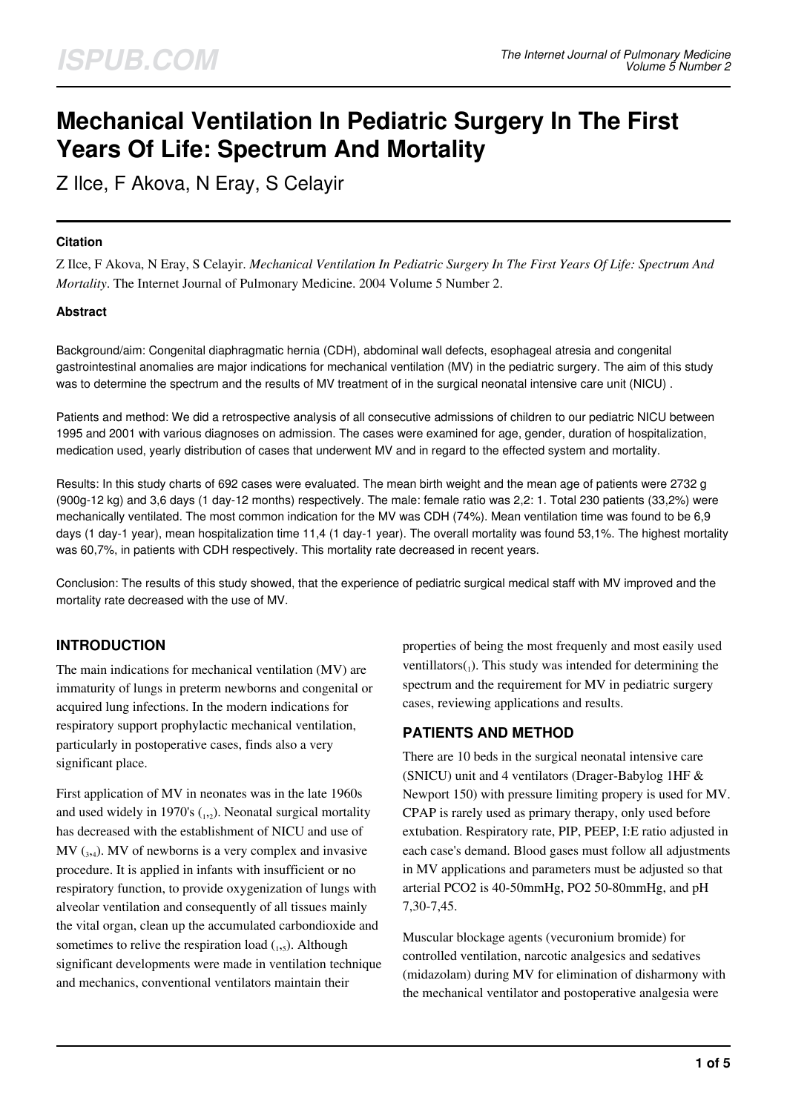# **Mechanical Ventilation In Pediatric Surgery In The First Years Of Life: Spectrum And Mortality**

Z Ilce, F Akova, N Eray, S Celayir

## **Citation**

Z Ilce, F Akova, N Eray, S Celayir. *Mechanical Ventilation In Pediatric Surgery In The First Years Of Life: Spectrum And Mortality*. The Internet Journal of Pulmonary Medicine. 2004 Volume 5 Number 2.

## **Abstract**

Background/aim: Congenital diaphragmatic hernia (CDH), abdominal wall defects, esophageal atresia and congenital gastrointestinal anomalies are major indications for mechanical ventilation (MV) in the pediatric surgery. The aim of this study was to determine the spectrum and the results of MV treatment of in the surgical neonatal intensive care unit (NICU).

Patients and method: We did a retrospective analysis of all consecutive admissions of children to our pediatric NICU between 1995 and 2001 with various diagnoses on admission. The cases were examined for age, gender, duration of hospitalization, medication used, yearly distribution of cases that underwent MV and in regard to the effected system and mortality.

Results: In this study charts of 692 cases were evaluated. The mean birth weight and the mean age of patients were 2732 g (900g-12 kg) and 3,6 days (1 day-12 months) respectively. The male: female ratio was 2,2: 1. Total 230 patients (33,2%) were mechanically ventilated. The most common indication for the MV was CDH (74%). Mean ventilation time was found to be 6,9 days (1 day-1 year), mean hospitalization time 11,4 (1 day-1 year). The overall mortality was found 53,1%. The highest mortality was 60,7%, in patients with CDH respectively. This mortality rate decreased in recent years.

Conclusion: The results of this study showed, that the experience of pediatric surgical medical staff with MV improved and the mortality rate decreased with the use of MV.

# **INTRODUCTION**

The main indications for mechanical ventilation (MV) are immaturity of lungs in preterm newborns and congenital or acquired lung infections. In the modern indications for respiratory support prophylactic mechanical ventilation, particularly in postoperative cases, finds also a very significant place.

First application of MV in neonates was in the late 1960s and used widely in 1970's  $_{1,2}$ ). Neonatal surgical mortality has decreased with the establishment of NICU and use of  $MV_{(3,4)}$ . MV of newborns is a very complex and invasive procedure. It is applied in infants with insufficient or no respiratory function, to provide oxygenization of lungs with alveolar ventilation and consequently of all tissues mainly the vital organ, clean up the accumulated carbondioxide and sometimes to relive the respiration load  $_{1,5}$ ). Although significant developments were made in ventilation technique and mechanics, conventional ventilators maintain their

properties of being the most frequenly and most easily used ventillators $(_{1})$ . This study was intended for determining the spectrum and the requirement for MV in pediatric surgery cases, reviewing applications and results.

# **PATIENTS AND METHOD**

There are 10 beds in the surgical neonatal intensive care (SNICU) unit and 4 ventilators (Drager-Babylog 1HF & Newport 150) with pressure limiting propery is used for MV. CPAP is rarely used as primary therapy, only used before extubation. Respiratory rate, PIP, PEEP, I:E ratio adjusted in each case's demand. Blood gases must follow all adjustments in MV applications and parameters must be adjusted so that arterial PCO2 is 40-50mmHg, PO2 50-80mmHg, and pH 7,30-7,45.

Muscular blockage agents (vecuronium bromide) for controlled ventilation, narcotic analgesics and sedatives (midazolam) during MV for elimination of disharmony with the mechanical ventilator and postoperative analgesia were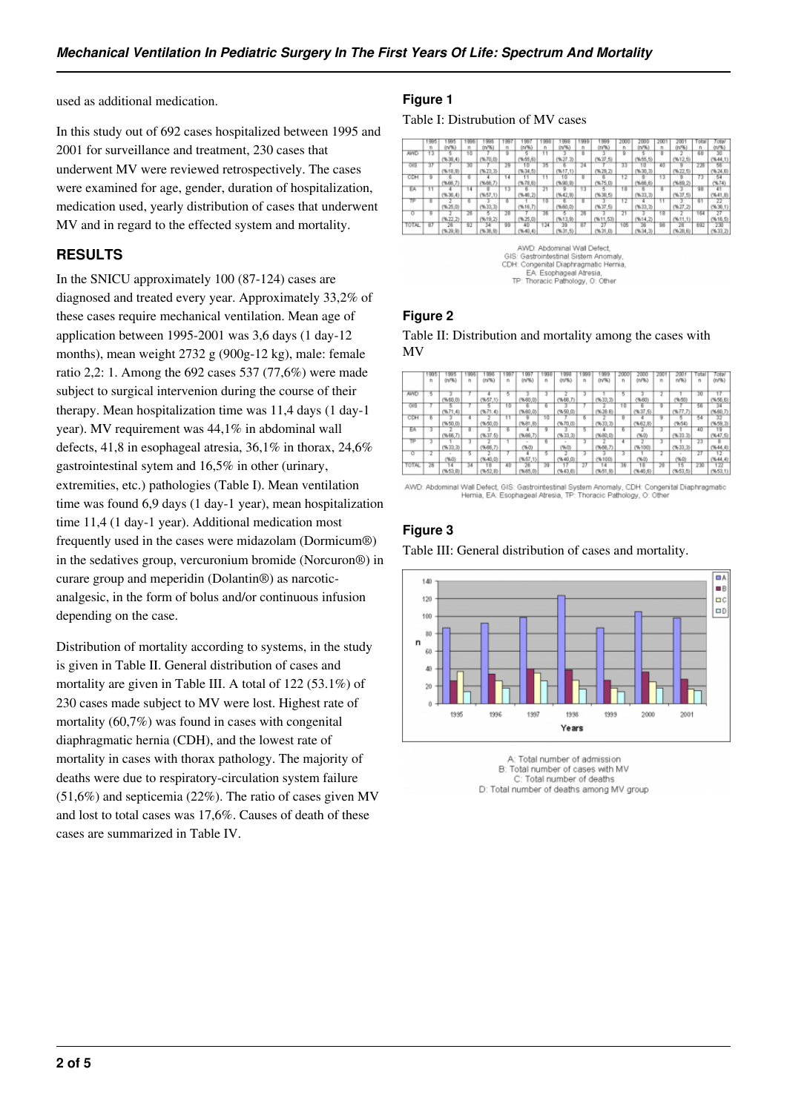used as additional medication.

In this study out of 692 cases hospitalized between 1995 and 2001 for surveillance and treatment, 230 cases that underwent MV were reviewed retrospectively. The cases were examined for age, gender, duration of hospitalization, medication used, yearly distribution of cases that underwent MV and in regard to the effected system and mortality.

# **RESULTS**

In the SNICU approximately 100 (87-124) cases are diagnosed and treated every year. Approximately 33,2% of these cases require mechanical ventilation. Mean age of application between 1995-2001 was 3,6 days (1 day-12 months), mean weight 2732 g (900g-12 kg), male: female ratio 2,2: 1. Among the 692 cases 537 (77,6%) were made subject to surgical intervenion during the course of their therapy. Mean hospitalization time was 11,4 days (1 day-1 year). MV requirement was 44,1% in abdominal wall defects, 41,8 in esophageal atresia, 36,1% in thorax, 24,6% gastrointestinal sytem and 16,5% in other (urinary, extremities, etc.) pathologies (Table I). Mean ventilation time was found 6,9 days (1 day-1 year), mean hospitalization time 11,4 (1 day-1 year). Additional medication most frequently used in the cases were midazolam (Dormicum®) in the sedatives group, vercuronium bromide (Norcuron®) in curare group and meperidin (Dolantin®) as narcoticanalgesic, in the form of bolus and/or continuous infusion depending on the case.

Distribution of mortality according to systems, in the study is given in Table II. General distribution of cases and mortality are given in Table III. A total of 122 (53.1%) of 230 cases made subject to MV were lost. Highest rate of mortality (60,7%) was found in cases with congenital diaphragmatic hernia (CDH), and the lowest rate of mortality in cases with thorax pathology. The majority of deaths were due to respiratory-circulation system failure (51,6%) and septicemia (22%). The ratio of cases given MV and lost to total cases was 17,6%. Causes of death of these cases are summarized in Table IV.

## **Figure 1**

Table I: Distrubution of MV cases

|              |    |            | 996 | <b>996</b>   |    |            | 99  |            |     | 999        | <b>UO</b> | 200        |      |             | otal | Total       |
|--------------|----|------------|-----|--------------|----|------------|-----|------------|-----|------------|-----------|------------|------|-------------|------|-------------|
|              | n  | (n/96)     | n   | (n/96)       | n  | (n/%)      | n   | (n/9i)     | n   | (nF6)      | n         | (n/%)      |      | 00%)        | n    | 00%         |
| <b>AWD</b>   |    |            | 10  |              | 9  |            |     |            | 8   |            | 9         |            | 8    |             | 68   | 30          |
|              |    | (9,30,4)   |     | (%70,0)      |    | (9, 66, 6) |     | (96.273)   |     | (9637, 5)  |           | (9, 55, 5) |      | (9612, 5)   |      | (96.44.1)   |
| त्राड        | 77 |            | স্ত |              | 75 | ŦБ         | 35  |            | 74  |            | 73        | τn         | 40   |             | 23   | छा          |
|              |    | (9618, 9)  |     | (96.23, 3)   |    | (9634, 5)  |     | 9617.1)    |     | (96.29, 2) |           | (9630, 3)  |      | (96, 22, 5) |      | (96, 24, 6) |
| CDH          | 9  |            | 8   |              | 14 |            |     | 10         | 8   | в          | 12        | з          | 13   | 9           | 73   | 54          |
|              |    | (966,7)    |     | (9666,7)     |    | (8, 87.35) |     | (%90,9)    |     | (9675, 0)  |           | (9666, 6)  |      | (9660, 2)   |      | (96.74)     |
| EA           |    |            | 14  |              | 13 |            | 71  |            | 13  |            | тm        |            |      |             | 90   | 41          |
|              |    | (9,36,4)   |     | (%57.1)      |    | (9,46,2)   |     | (9642, 90) |     | (96,38,5)  |           | (9633, 3)  |      | (96, 37, 5) |      | (8.14.02)   |
| π            | 8  |            | Б   |              | 6  |            | Ŧΰ  |            | ष्ठ |            | 12        |            |      |             | 61   | 22          |
|              |    | (96.25,0)  |     | (9633,3)     |    | (9616,7)   |     | (%60,0)    |     | (9637, 5)  |           | (9633, 3)  |      | (9627, 2)   |      | (96.36.1)   |
| о            | в  |            | 26  |              | 28 |            | 36  |            | 76  |            | 21        |            | ब्रि |             | 164  | 77          |
|              |    | (96.22, 2) |     | (9619, 2)    |    | (96.25,0)  |     | (9613, 9)  |     | (9611, 53) |           | (9614, 2)  |      | (9611.1)    |      | (9616.5)    |
| <b>TOTAL</b> | 87 |            | 92  | 34           | 99 | 40         | 124 | 39         | 87  |            | 105       | 38         | 98   | 28          | 692  | 230         |
|              |    | (96.29.9)  |     | (96, 36, 90) |    | (96.40.4)  |     | (96.31, 5) |     | (%31.0)    |           | (9634, 35) |      | (96, 28, 6) |      | (%33.2)     |

AWD: Abdominal Wall Defect,<br>GIS: Gastrointestinal Sistem Anomaly,<br>CDH: Congenital Diaphragmatic Hernia, EA: Esophageal Atresia,<br>TP: Thoracic Pathology, O: Other

#### **Figure 2**

Table II: Distribution and mortality among the cases with MV

|            | 1995 |             | 996 | 996        |    | 99         |    | 998        | 999 | 1999       | 2000 | 2000         |    | 2001       | 'otal | Total      |
|------------|------|-------------|-----|------------|----|------------|----|------------|-----|------------|------|--------------|----|------------|-------|------------|
|            | n    | (n/%)       | n   | $(n\%)$    | n  | $(n^{pq}$  | n  | 01/%)      | 'n  | (n/96)     | n    | (n/%)        | n  | $n\%$      | n     | 00%}       |
|            |      |             |     |            |    |            |    |            |     |            |      |              |    |            |       |            |
| <b>AND</b> |      |             |     |            | π  |            |    |            |     |            | Б    |              |    |            | 30    |            |
|            |      | (9660.0)    |     | (9657, 1)  |    | (%60,0)    |    | (5.66.7)   |     | (9633, 3)  |      | %601         |    | (96, 60)   |       | (0.384)    |
| <b>GIB</b> |      |             |     |            | Ŧΰ |            |    |            |     |            | Ŧΰ   |              |    |            | 56    | 34         |
|            |      | (96.71, 4)  |     | (9671.4)   |    | (96.60, 0) |    | (0.084)    |     | (96, 28.6) |      | (96, 37, 5)  |    | (96.77,7)  |       | (9660, 7)  |
| CDH        | в    |             | ٠   |            | π  |            | тđ |            | в   |            | π    |              |    |            | उड    |            |
|            |      | (9650.0)    |     | (9,60,0)   |    | (%91,8)    |    | (96.70.01) |     | (9633, 3)  |      | (9, 62.8)    |    | (9654)     |       | (9659.3)   |
| EA         |      |             | 8   |            | Б  |            |    |            |     |            | в    |              |    |            | 40    | 19         |
|            |      | (9666, 7)   |     | (96.37.5)  |    | (9666,7)   |    | (E, EEW)   |     | (9680, 0)  |      | (%0)         |    | (96.33.3)  |       | (0.547, 0) |
| π          |      |             |     |            |    |            | в  |            |     |            | ٠    |              |    |            | 71    |            |
|            |      | (96, 33, 3) |     | (966, 7)   |    | (%0)       |    | (%0)       |     | (9688, 7)  |      | (96100)      |    | (9, 33, 3) |       | (9644.4)   |
| o          |      |             |     |            |    |            |    |            |     |            | 3    |              |    |            | 27    |            |
|            |      | (960)       |     | (96.40, 0) |    | (9657,1)   |    | (0.040)    |     | (96.100)   |      | (%0)         |    | (960)      |       | (9,44,4)   |
| TOTAL      | 76   | 14          | 34  | 18         | 40 | 26         | 39 |            | 27  | 14         | 36   | 1B           | 28 | 15         | 230   | 122        |
|            |      | (9653.8)    |     | (9652, 8)  |    | 9605.00    |    | (0.048)    |     | (9651, 90) |      | $(0.00 - 0)$ |    | (9, 63, 5) |       | (9653.1)   |

AWD: Abdominal Wall Defect, GIS: Gastrointestinal System Anomaly, CDH: Congenital Diaphragmatic<br>Hernia, EA: Esophageal Atresia, TP: Thoracic Pathology, O: Other

# **Figure 3**

Table III: General distribution of cases and mortality.



A: Total number of admission B: Total number of cases with MV C: Total number of deaths D: Total number of deaths among MV group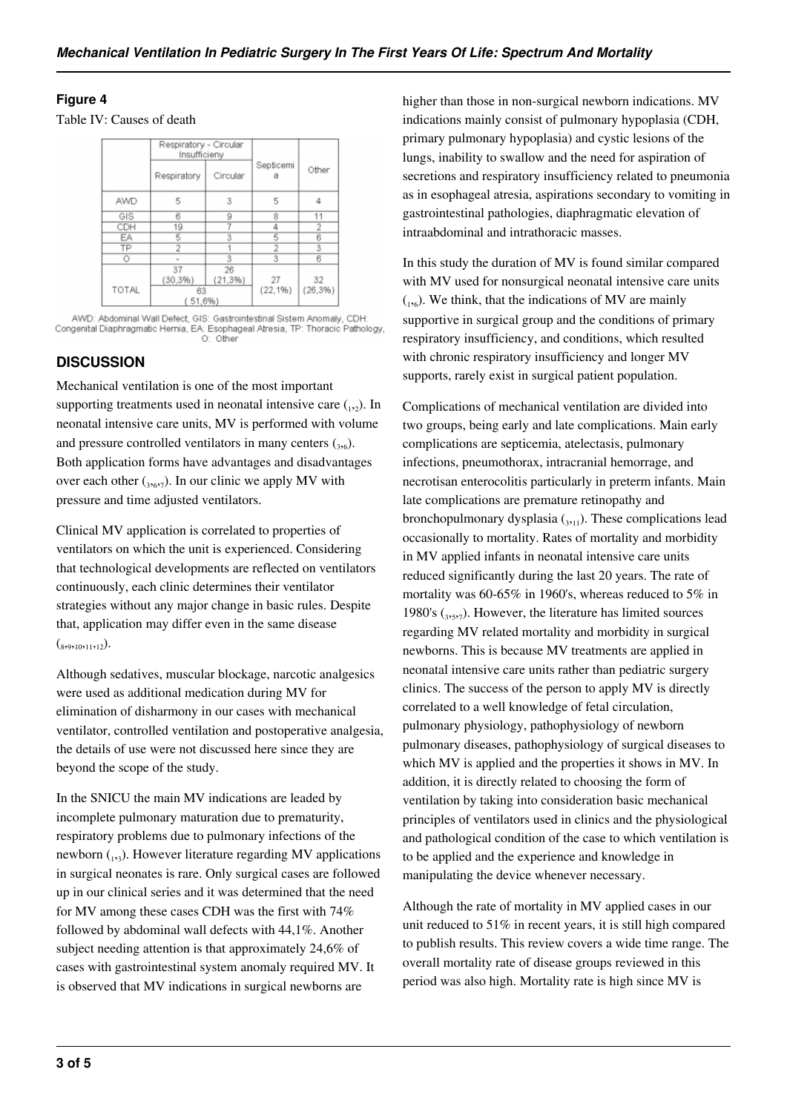## **Figure 4**

Table IV: Causes of death

|       | Respiratory - Circular<br>Insufficieny |                |                |             |  |  |
|-------|----------------------------------------|----------------|----------------|-------------|--|--|
|       | Respiratory                            | Circular       | Septicemi<br>a | Other       |  |  |
| AWD   | 5                                      | 3              | 5              |             |  |  |
| GIS   | 6                                      | ğ              | 8              |             |  |  |
| CDH   | 19                                     |                | 4              | 2           |  |  |
| EA    | 5                                      | 3              | 5              | 6<br>3<br>6 |  |  |
| TP    | 2                                      |                | 2              |             |  |  |
| Ο     |                                        | 3              | 3              |             |  |  |
|       | 37<br>$(30, 3\%)$                      | 26<br>(21, 3%) | 27             | 32          |  |  |
| TOTAL | 63<br>51,6%)                           |                | $(22, 1\%)$    | (26, 3%)    |  |  |

AWD: Abdominal Wall Defect, GIS: Gastrointestinal Sistem Anomaly, CDH:<br>Congenital Diaphragmatic Hernia, EA: Esophageal Atresia, TP: Thoracic Pathology,

## **DISCUSSION**

Mechanical ventilation is one of the most important supporting treatments used in neonatal intensive care  $_{1,2}$ ). In neonatal intensive care units, MV is performed with volume and pressure controlled ventilators in many centers  $({}_{3,6})$ . Both application forms have advantages and disadvantages over each other  $({}_{3,6,7})$ . In our clinic we apply MV with pressure and time adjusted ventilators.

Clinical MV application is correlated to properties of ventilators on which the unit is experienced. Considering that technological developments are reflected on ventilators continuously, each clinic determines their ventilator strategies without any major change in basic rules. Despite that, application may differ even in the same disease  $\left( \frac{1}{8}, 9, 10, 11, 12 \right)$ .

Although sedatives, muscular blockage, narcotic analgesics were used as additional medication during MV for elimination of disharmony in our cases with mechanical ventilator, controlled ventilation and postoperative analgesia, the details of use were not discussed here since they are beyond the scope of the study.

In the SNICU the main MV indications are leaded by incomplete pulmonary maturation due to prematurity, respiratory problems due to pulmonary infections of the newborn (1,3). However literature regarding MV applications in surgical neonates is rare. Only surgical cases are followed up in our clinical series and it was determined that the need for MV among these cases CDH was the first with 74% followed by abdominal wall defects with 44,1%. Another subject needing attention is that approximately 24,6% of cases with gastrointestinal system anomaly required MV. It is observed that MV indications in surgical newborns are

higher than those in non-surgical newborn indications. MV indications mainly consist of pulmonary hypoplasia (CDH, primary pulmonary hypoplasia) and cystic lesions of the lungs, inability to swallow and the need for aspiration of secretions and respiratory insufficiency related to pneumonia as in esophageal atresia, aspirations secondary to vomiting in gastrointestinal pathologies, diaphragmatic elevation of intraabdominal and intrathoracic masses.

In this study the duration of MV is found similar compared with MV used for nonsurgical neonatal intensive care units  $_{1,6}$ ). We think, that the indications of MV are mainly supportive in surgical group and the conditions of primary respiratory insufficiency, and conditions, which resulted with chronic respiratory insufficiency and longer MV supports, rarely exist in surgical patient population.

Complications of mechanical ventilation are divided into two groups, being early and late complications. Main early complications are septicemia, atelectasis, pulmonary infections, pneumothorax, intracranial hemorrage, and necrotisan enterocolitis particularly in preterm infants. Main late complications are premature retinopathy and bronchopulmonary dysplasia  $_{3n1}$ ). These complications lead occasionally to mortality. Rates of mortality and morbidity in MV applied infants in neonatal intensive care units reduced significantly during the last 20 years. The rate of mortality was 60-65% in 1960's, whereas reduced to 5% in 1980's  $({}_{3577})$ . However, the literature has limited sources regarding MV related mortality and morbidity in surgical newborns. This is because MV treatments are applied in neonatal intensive care units rather than pediatric surgery clinics. The success of the person to apply MV is directly correlated to a well knowledge of fetal circulation, pulmonary physiology, pathophysiology of newborn pulmonary diseases, pathophysiology of surgical diseases to which MV is applied and the properties it shows in MV. In addition, it is directly related to choosing the form of ventilation by taking into consideration basic mechanical principles of ventilators used in clinics and the physiological and pathological condition of the case to which ventilation is to be applied and the experience and knowledge in manipulating the device whenever necessary.

Although the rate of mortality in MV applied cases in our unit reduced to 51% in recent years, it is still high compared to publish results. This review covers a wide time range. The overall mortality rate of disease groups reviewed in this period was also high. Mortality rate is high since MV is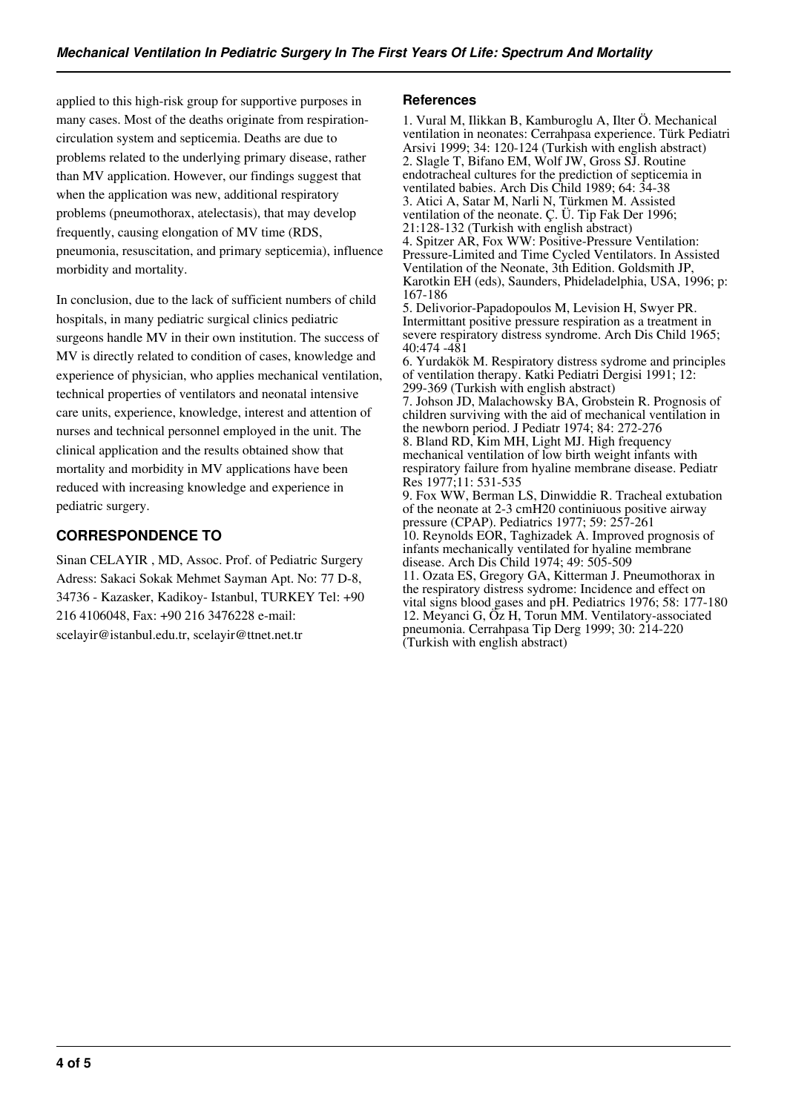applied to this high-risk group for supportive purposes in many cases. Most of the deaths originate from respirationcirculation system and septicemia. Deaths are due to problems related to the underlying primary disease, rather than MV application. However, our findings suggest that when the application was new, additional respiratory problems (pneumothorax, atelectasis), that may develop frequently, causing elongation of MV time (RDS, pneumonia, resuscitation, and primary septicemia), influence morbidity and mortality.

In conclusion, due to the lack of sufficient numbers of child hospitals, in many pediatric surgical clinics pediatric surgeons handle MV in their own institution. The success of MV is directly related to condition of cases, knowledge and experience of physician, who applies mechanical ventilation, technical properties of ventilators and neonatal intensive care units, experience, knowledge, interest and attention of nurses and technical personnel employed in the unit. The clinical application and the results obtained show that mortality and morbidity in MV applications have been reduced with increasing knowledge and experience in pediatric surgery.

# **CORRESPONDENCE TO**

Sinan CELAYIR , MD, Assoc. Prof. of Pediatric Surgery Adress: Sakaci Sokak Mehmet Sayman Apt. No: 77 D-8, 34736 - Kazasker, Kadikoy- Istanbul, TURKEY Tel: +90 216 4106048, Fax: +90 216 3476228 e-mail: scelayir@istanbul.edu.tr, scelayir@ttnet.net.tr

#### **References**

1. Vural M, Ilikkan B, Kamburoglu A, Ilter Ö. Mechanical ventilation in neonates: Cerrahpasa experience. Türk Pediatri Arsivi 1999; 34: 120-124 (Turkish with english abstract) 2. Slagle T, Bifano EM, Wolf JW, Gross SJ. Routine endotracheal cultures for the prediction of septicemia in ventilated babies. Arch Dis Child 1989; 64: 34-38 3. Atici A, Satar M, Narli N, Türkmen M. Assisted ventilation of the neonate. Ç. Ü. Tip Fak Der 1996; 21:128-132 (Turkish with english abstract) 4. Spitzer AR, Fox WW: Positive-Pressure Ventilation: Pressure-Limited and Time Cycled Ventilators. In Assisted Ventilation of the Neonate, 3th Edition. Goldsmith JP, Karotkin EH (eds), Saunders, Phideladelphia, USA, 1996; p: 167-186 5. Delivorior-Papadopoulos M, Levision H, Swyer PR. Intermittant positive pressure respiration as a treatment in severe respiratory distress syndrome. Arch Dis Child 1965; 40:474 -481 6. Yurdakök M. Respiratory distress sydrome and principles of ventilation therapy. Katki Pediatri Dergisi 1991; 12: 299-369 (Turkish with english abstract) 7. Johson JD, Malachowsky BA, Grobstein R. Prognosis of

children surviving with the aid of mechanical ventilation in the newborn period. J Pediatr 1974; 84: 272-276 8. Bland RD, Kim MH, Light MJ. High frequency mechanical ventilation of low birth weight infants with respiratory failure from hyaline membrane disease. Pediatr Res 1977;11: 531-535 9. Fox WW, Berman LS, Dinwiddie R. Tracheal extubation

of the neonate at 2-3 cmH20 continiuous positive airway pressure (CPAP). Pediatrics 1977; 59: 257-261 10. Reynolds EOR, Taghizadek A. Improved prognosis of infants mechanically ventilated for hyaline membrane disease. Arch Dis Child 1974; 49: 505-509 11. Ozata ES, Gregory GA, Kitterman J. Pneumothorax in the respiratory distress sydrome: Incidence and effect on vital signs blood gases and pH. Pediatrics 1976; 58: 177-180 12. Meyanci G, Öz H, Torun MM. Ventilatory-associated pneumonia. Cerrahpasa Tip Derg 1999; 30: 214-220 (Turkish with english abstract)